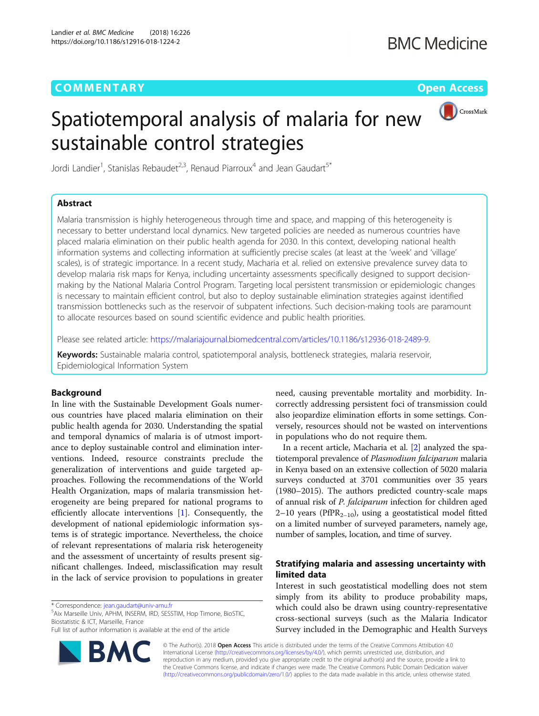# **COMMENTARY COMMENTARY Open Access**

# CrossMark Spatiotemporal analysis of malaria for new sustainable control strategies

Jordi Landier<sup>1</sup>, Stanislas Rebaudet<sup>2,3</sup>, Renaud Piarroux<sup>4</sup> and Jean Gaudart<sup>5\*</sup>

# Abstract

Malaria transmission is highly heterogeneous through time and space, and mapping of this heterogeneity is necessary to better understand local dynamics. New targeted policies are needed as numerous countries have placed malaria elimination on their public health agenda for 2030. In this context, developing national health information systems and collecting information at sufficiently precise scales (at least at the 'week' and 'village' scales), is of strategic importance. In a recent study, Macharia et al. relied on extensive prevalence survey data to develop malaria risk maps for Kenya, including uncertainty assessments specifically designed to support decisionmaking by the National Malaria Control Program. Targeting local persistent transmission or epidemiologic changes is necessary to maintain efficient control, but also to deploy sustainable elimination strategies against identified transmission bottlenecks such as the reservoir of subpatent infections. Such decision-making tools are paramount to allocate resources based on sound scientific evidence and public health priorities.

Please see related article: [https://malariajournal.biomedcentral.com/articles/10.1186/s12936-018-2489-9.](https://malariajournal.biomedcentral.com/articles/10.1186/s12936-018-2489-9)

Keywords: Sustainable malaria control, spatiotemporal analysis, bottleneck strategies, malaria reservoir, Epidemiological Information System

# Background

In line with the Sustainable Development Goals numerous countries have placed malaria elimination on their public health agenda for 2030. Understanding the spatial and temporal dynamics of malaria is of utmost importance to deploy sustainable control and elimination interventions. Indeed, resource constraints preclude the generalization of interventions and guide targeted approaches. Following the recommendations of the World Health Organization, maps of malaria transmission heterogeneity are being prepared for national programs to efficiently allocate interventions [\[1](#page-2-0)]. Consequently, the development of national epidemiologic information systems is of strategic importance. Nevertheless, the choice of relevant representations of malaria risk heterogeneity and the assessment of uncertainty of results present significant challenges. Indeed, misclassification may result in the lack of service provision to populations in greater

\* Correspondence: [jean.gaudart@univ-amu.fr](mailto:jean.gaudart@univ-amu.fr) <sup>5</sup>

<sup>5</sup> Aix Marseille Univ, APHM, INSERM, IRD, SESSTIM, Hop Timone, BioSTIC, Biostatistic & ICT, Marseille, France

Full list of author information is available at the end of the article



need, causing preventable mortality and morbidity. Incorrectly addressing persistent foci of transmission could also jeopardize elimination efforts in some settings. Conversely, resources should not be wasted on interventions in populations who do not require them.

In a recent article, Macharia et al. [\[2\]](#page-2-0) analyzed the spatiotemporal prevalence of Plasmodium falciparum malaria in Kenya based on an extensive collection of 5020 malaria surveys conducted at 3701 communities over 35 years (1980–2015). The authors predicted country-scale maps of annual risk of P. falciparum infection for children aged 2–10 years (PfP $R_{2-10}$ ), using a geostatistical model fitted on a limited number of surveyed parameters, namely age, number of samples, location, and time of survey.

# Stratifying malaria and assessing uncertainty with limited data

Interest in such geostatistical modelling does not stem simply from its ability to produce probability maps, which could also be drawn using country-representative cross-sectional surveys (such as the Malaria Indicator Survey included in the Demographic and Health Surveys

© The Author(s). 2018 Open Access This article is distributed under the terms of the Creative Commons Attribution 4.0 International License [\(http://creativecommons.org/licenses/by/4.0/](http://creativecommons.org/licenses/by/4.0/)), which permits unrestricted use, distribution, and reproduction in any medium, provided you give appropriate credit to the original author(s) and the source, provide a link to the Creative Commons license, and indicate if changes were made. The Creative Commons Public Domain Dedication waiver [\(http://creativecommons.org/publicdomain/zero/1.0/](http://creativecommons.org/publicdomain/zero/1.0/)) applies to the data made available in this article, unless otherwise stated.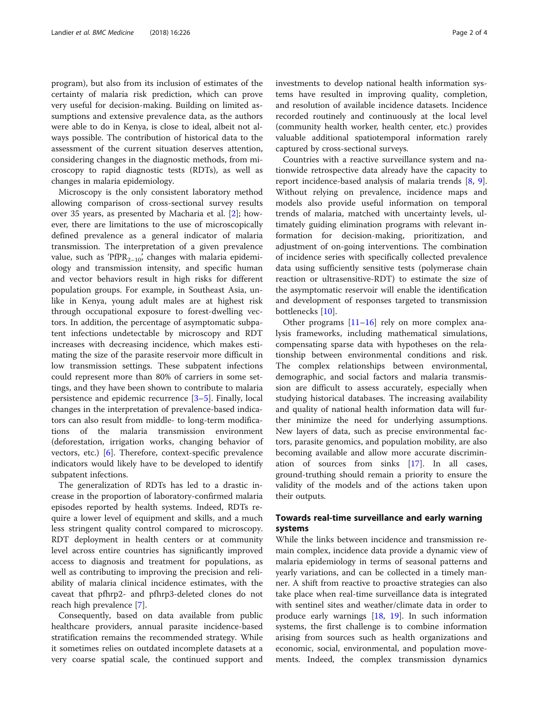program), but also from its inclusion of estimates of the certainty of malaria risk prediction, which can prove very useful for decision-making. Building on limited assumptions and extensive prevalence data, as the authors were able to do in Kenya, is close to ideal, albeit not always possible. The contribution of historical data to the assessment of the current situation deserves attention, considering changes in the diagnostic methods, from microscopy to rapid diagnostic tests (RDTs), as well as changes in malaria epidemiology.

Microscopy is the only consistent laboratory method allowing comparison of cross-sectional survey results over 35 years, as presented by Macharia et al. [[2\]](#page-2-0); however, there are limitations to the use of microscopically defined prevalence as a general indicator of malaria transmission. The interpretation of a given prevalence value, such as 'PfPR<sub>2–10</sub>' changes with malaria epidemiology and transmission intensity, and specific human and vector behaviors result in high risks for different population groups. For example, in Southeast Asia, unlike in Kenya, young adult males are at highest risk through occupational exposure to forest-dwelling vectors. In addition, the percentage of asymptomatic subpatent infections undetectable by microscopy and RDT increases with decreasing incidence, which makes estimating the size of the parasite reservoir more difficult in low transmission settings. These subpatent infections could represent more than 80% of carriers in some settings, and they have been shown to contribute to malaria persistence and epidemic recurrence [[3](#page-2-0)–[5](#page-2-0)]. Finally, local changes in the interpretation of prevalence-based indicators can also result from middle- to long-term modifications of the malaria transmission environment (deforestation, irrigation works, changing behavior of vectors, etc.) [\[6](#page-2-0)]. Therefore, context-specific prevalence indicators would likely have to be developed to identify subpatent infections.

The generalization of RDTs has led to a drastic increase in the proportion of laboratory-confirmed malaria episodes reported by health systems. Indeed, RDTs require a lower level of equipment and skills, and a much less stringent quality control compared to microscopy. RDT deployment in health centers or at community level across entire countries has significantly improved access to diagnosis and treatment for populations, as well as contributing to improving the precision and reliability of malaria clinical incidence estimates, with the caveat that pfhrp2- and pfhrp3-deleted clones do not reach high prevalence [\[7](#page-2-0)].

Consequently, based on data available from public healthcare providers, annual parasite incidence-based stratification remains the recommended strategy. While it sometimes relies on outdated incomplete datasets at a very coarse spatial scale, the continued support and investments to develop national health information systems have resulted in improving quality, completion, and resolution of available incidence datasets. Incidence recorded routinely and continuously at the local level (community health worker, health center, etc.) provides valuable additional spatiotemporal information rarely captured by cross-sectional surveys.

Countries with a reactive surveillance system and nationwide retrospective data already have the capacity to report incidence-based analysis of malaria trends [\[8](#page-2-0), [9](#page-2-0)]. Without relying on prevalence, incidence maps and models also provide useful information on temporal trends of malaria, matched with uncertainty levels, ultimately guiding elimination programs with relevant information for decision-making, prioritization, and adjustment of on-going interventions. The combination of incidence series with specifically collected prevalence data using sufficiently sensitive tests (polymerase chain reaction or ultrasensitive-RDT) to estimate the size of the asymptomatic reservoir will enable the identification and development of responses targeted to transmission bottlenecks [\[10](#page-2-0)].

Other programs  $[11–16]$  $[11–16]$  $[11–16]$  $[11–16]$  $[11–16]$  rely on more complex analysis frameworks, including mathematical simulations, compensating sparse data with hypotheses on the relationship between environmental conditions and risk. The complex relationships between environmental, demographic, and social factors and malaria transmission are difficult to assess accurately, especially when studying historical databases. The increasing availability and quality of national health information data will further minimize the need for underlying assumptions. New layers of data, such as precise environmental factors, parasite genomics, and population mobility, are also becoming available and allow more accurate discrimination of sources from sinks [\[17\]](#page-3-0). In all cases, ground-truthing should remain a priority to ensure the validity of the models and of the actions taken upon their outputs.

# Towards real-time surveillance and early warning systems

While the links between incidence and transmission remain complex, incidence data provide a dynamic view of malaria epidemiology in terms of seasonal patterns and yearly variations, and can be collected in a timely manner. A shift from reactive to proactive strategies can also take place when real-time surveillance data is integrated with sentinel sites and weather/climate data in order to produce early warnings [[18,](#page-3-0) [19\]](#page-3-0). In such information systems, the first challenge is to combine information arising from sources such as health organizations and economic, social, environmental, and population movements. Indeed, the complex transmission dynamics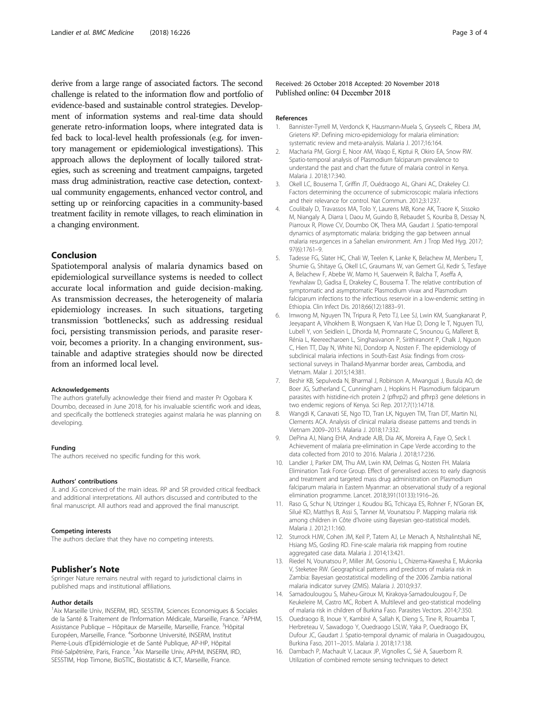<span id="page-2-0"></span>derive from a large range of associated factors. The second challenge is related to the information flow and portfolio of evidence-based and sustainable control strategies. Development of information systems and real-time data should generate retro-information loops, where integrated data is fed back to local-level health professionals (e.g. for inventory management or epidemiological investigations). This approach allows the deployment of locally tailored strategies, such as screening and treatment campaigns, targeted mass drug administration, reactive case detection, contextual community engagements, enhanced vector control, and setting up or reinforcing capacities in a community-based treatment facility in remote villages, to reach elimination in a changing environment.

## Conclusion

Spatiotemporal analysis of malaria dynamics based on epidemiological surveillance systems is needed to collect accurate local information and guide decision-making. As transmission decreases, the heterogeneity of malaria epidemiology increases. In such situations, targeting transmission 'bottlenecks', such as addressing residual foci, persisting transmission periods, and parasite reservoir, becomes a priority. In a changing environment, sustainable and adaptive strategies should now be directed from an informed local level.

#### Acknowledgements

The authors gratefully acknowledge their friend and master Pr Ogobara K Doumbo, deceased in June 2018, for his invaluable scientific work and ideas, and specifically the bottleneck strategies against malaria he was planning on developing.

#### Funding

The authors received no specific funding for this work.

#### Authors' contributions

JL and JG conceived of the main ideas. RP and SR provided critical feedback and additional interpretations. All authors discussed and contributed to the final manuscript. All authors read and approved the final manuscript.

#### Competing interests

The authors declare that they have no competing interests.

## Publisher's Note

Springer Nature remains neutral with regard to jurisdictional claims in published maps and institutional affiliations.

#### Author details

<sup>1</sup> Aix Marseille Univ, INSERM, IRD, SESSTIM, Sciences Economiques & Sociales de la Santé & Traitement de l'Information Médicale, Marseille, France. <sup>2</sup>APHM, Assistance Publique – Hôpitaux de Marseille, Marseille, France. <sup>3</sup>Hôpital Européen, Marseille, France. <sup>4</sup>Sorbonne Université, INSERM, Institut Pierre-Louis d'Epidémiologie et de Santé Publique, AP-HP, Hôpital Pitié-Salpêtrière, Paris, France. <sup>5</sup> Aix Marseille Univ, APHM, INSERM, IRD, SESSTIM, Hop Timone, BioSTIC, Biostatistic & ICT, Marseille, France.

## Received: 26 October 2018 Accepted: 20 November 2018 Published online: 04 December 2018

#### References

- 1. Bannister-Tyrrell M, Verdonck K, Hausmann-Muela S, Gryseels C, Ribera JM, Grietens KP. Defining micro-epidemiology for malaria elimination: systematic review and meta-analysis. Malaria J. 2017;16:164.
- 2. Macharia PM, Giorgi E, Noor AM, Waqo E, Kiptui R, Okiro EA, Snow RW. Spatio-temporal analysis of Plasmodium falciparum prevalence to understand the past and chart the future of malaria control in Kenya. Malaria J. 2018;17:340.
- 3. Okell LC, Bousema T, Griffin JT, Ouédraogo AL, Ghani AC, Drakeley CJ. Factors determining the occurrence of submicroscopic malaria infections and their relevance for control. Nat Commun. 2012;3:1237.
- 4. Coulibaly D, Travassos MA, Tolo Y, Laurens MB, Kone AK, Traore K, Sissoko M, Niangaly A, Diarra I, Daou M, Guindo B, Rebaudet S, Kouriba B, Dessay N, Piarroux R, Plowe CV, Doumbo OK, Thera MA, Gaudart J. Spatio-temporal dynamics of asymptomatic malaria: bridging the gap between annual malaria resurgences in a Sahelian environment. Am J Trop Med Hyg. 2017; 97(6):1761–9.
- 5. Tadesse FG, Slater HC, Chali W, Teelen K, Lanke K, Belachew M, Menberu T, Shumie G, Shitaye G, Okell LC, Graumans W, van Gemert GJ, Kedir S, Tesfaye A, Belachew F, Abebe W, Mamo H, Sauerwein R, Balcha T, Aseffa A, Yewhalaw D, Gadisa E, Drakeley C, Bousema T. The relative contribution of symptomatic and asymptomatic Plasmodium vivax and Plasmodium falciparum infections to the infectious reservoir in a low-endemic setting in Ethiopia. Clin Infect Dis. 2018;66(12):1883–91.
- 6. Imwong M, Nguyen TN, Tripura R, Peto TJ, Lee SJ, Lwin KM, Suangkanarat P, Jeeyapant A, Vihokhern B, Wongsaen K, Van Hue D, Dong le T, Nguyen TU, Lubell Y, von Seidlein L, Dhorda M, Promnarate C, Snounou G, Malleret B, Rénia L, Keereecharoen L, Singhasivanon P, Sirithiranont P, Chalk J, Nguon C, Hien TT, Day N, White NJ, Dondorp A, Nosten F. The epidemiology of subclinical malaria infections in South-East Asia: findings from crosssectional surveys in Thailand-Myanmar border areas, Cambodia, and Vietnam. Malar J. 2015;14:381.
- 7. Beshir KB, Sepulveda N, Bharmal J, Robinson A, Mwanguzi J, Busula AO, de Boer JG, Sutherland C, Cunningham J, Hopkins H. Plasmodium falciparum parasites with histidine-rich protein 2 (pfhrp2) and pfhrp3 gene deletions in two endemic regions of Kenya. Sci Rep. 2017;7(1):14718.
- 8. Wangdi K, Canavati SE, Ngo TD, Tran LK, Nguyen TM, Tran DT, Martin NJ, Clements ACA. Analysis of clinical malaria disease patterns and trends in Vietnam 2009–2015. Malaria J. 2018;17:332.
- 9. DePina AJ, Niang EHA, Andrade AJB, Dia AK, Moreira A, Faye O, Seck I. Achievement of malaria pre-elimination in Cape Verde according to the data collected from 2010 to 2016. Malaria J. 2018;17:236.
- 10. Landier J, Parker DM, Thu AM, Lwin KM, Delmas G, Nosten FH. Malaria Elimination Task Force Group. Effect of generalised access to early diagnosis and treatment and targeted mass drug administration on Plasmodium falciparum malaria in Eastern Myanmar: an observational study of a regional elimination programme. Lancet. 2018;391(10133):1916–26.
- 11. Raso G, Schur N, Utzinger J, Koudou BG, Tchicaya ES, Rohner F, N'Goran EK, Silué KD, Matthys B, Assi S, Tanner M, Vounatsou P. Mapping malaria risk among children in Côte d'Ivoire using Bayesian geo-statistical models. Malaria J. 2012;11:160.
- 12. Sturrock HJW, Cohen JM, Keil P, Tatem AJ, Le Menach A, Ntshalintshali NE, Hsiang MS, Gosling RD. Fine-scale malaria risk mapping from routine aggregated case data. Malaria J. 2014;13:421.
- 13. Riedel N, Vounatsou P, Miller JM, Gosoniu L, Chizema-Kawesha E, Mukonka V, Steketee RW. Geographical patterns and predictors of malaria risk in Zambia: Bayesian geostatistical modelling of the 2006 Zambia national malaria indicator survey (ZMIS). Malaria J. 2010;9:37.
- 14. Samadoulougou S, Maheu-Giroux M, Kirakoya-Samadoulougou F, De Keukeleire M, Castro MC, Robert A. Multilevel and geo-statistical modeling of malaria risk in children of Burkina Faso. Parasites Vectors. 2014;7:350.
- 15. Ouedraogo B, Inoue Y, Kambiré A, Sallah K, Dieng S, Tine R, Rouamba T, Herbreteau V, Sawadogo Y, Ouedraogo LSLW, Yaka P, Ouedraogo EK, Dufour JC, Gaudart J. Spatio-temporal dynamic of malaria in Ouagadougou, Burkina Faso, 2011–2015. Malaria J. 2018;17:138.
- 16. Dambach P, Machault V, Lacaux JP, Vignolles C, Sié A, Sauerborn R. Utilization of combined remote sensing techniques to detect